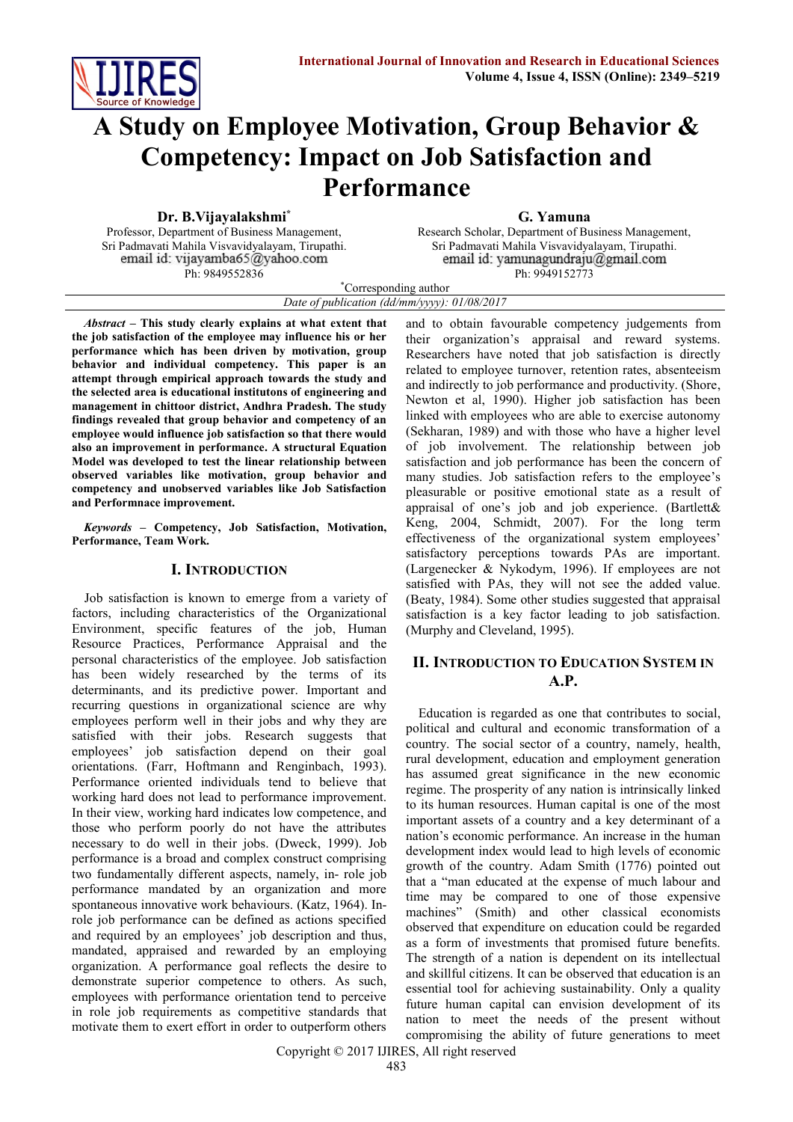

# **A Study on Employee Motivation, Group Behavior & Competency: Impact on Job Satisfaction and Performance**

**Dr. B.Vijayalakshmi\***

Professor, Department of Business Management, Sri Padmavati Mahila Visvavidyalayam, Tirupathi. Ph: 9849552836

**G. Yamuna**

Research Scholar, Department of Business Management, Sri Padmavati Mahila Visvavidyalayam, Tirupathi. email id: yamunagundraju@gmail.com Ph: 9949152773

\*Corresponding author *Date of publication (dd/mm/yyyy): 01/08/2017*

*Abstract* **– This study clearly explains at what extent that the job satisfaction of the employee may influence his or her performance which has been driven by motivation, group behavior and individual competency. This paper is an attempt through empirical approach towards the study and the selected area is educational institutons of engineering and management in chittoor district, Andhra Pradesh. The study findings revealed that group behavior and competency of an employee would influence job satisfaction so that there would also an improvement in performance. A structural Equation Model was developed to test the linear relationship between observed variables like motivation, group behavior and competency and unobserved variables like Job Satisfaction and Performnace improvement.**

*Keywords* **– Competency, Job Satisfaction, Motivation, Performance, Team Work.**

#### **I. INTRODUCTION**

Job satisfaction is known to emerge from a variety of factors, including characteristics of the Organizational Environment, specific features of the job, Human Resource Practices, Performance Appraisal and the personal characteristics of the employee. Job satisfaction has been widely researched by the terms of its determinants, and its predictive power. Important and recurring questions in organizational science are why employees perform well in their jobs and why they are satisfied with their jobs. Research suggests that employees' job satisfaction depend on their goal orientations. (Farr, Hoftmann and Renginbach, 1993). Performance oriented individuals tend to believe that working hard does not lead to performance improvement. In their view, working hard indicates low competence, and those who perform poorly do not have the attributes necessary to do well in their jobs. (Dweck, 1999). Job performance is a broad and complex construct comprising two fundamentally different aspects, namely, in- role job performance mandated by an organization and more spontaneous innovative work behaviours. (Katz, 1964). Inrole job performance can be defined as actions specified and required by an employees' job description and thus, mandated, appraised and rewarded by an employing organization. A performance goal reflects the desire to demonstrate superior competence to others. As such, employees with performance orientation tend to perceive in role job requirements as competitive standards that motivate them to exert effort in order to outperform others and to obtain favourable competency judgements from their organization's appraisal and reward systems. Researchers have noted that job satisfaction is directly related to employee turnover, retention rates, absenteeism and indirectly to job performance and productivity. (Shore, Newton et al, 1990). Higher job satisfaction has been linked with employees who are able to exercise autonomy (Sekharan, 1989) and with those who have a higher level of job involvement. The relationship between job satisfaction and job performance has been the concern of many studies. Job satisfaction refers to the employee's pleasurable or positive emotional state as a result of appraisal of one's job and job experience. (Bartlett& Keng, 2004, Schmidt, 2007). For the long term effectiveness of the organizational system employees' satisfactory perceptions towards PAs are important. (Largenecker & Nykodym, 1996). If employees are not satisfied with PAs, they will not see the added value. (Beaty, 1984). Some other studies suggested that appraisal satisfaction is a key factor leading to job satisfaction. (Murphy and Cleveland, 1995).

# **II. INTRODUCTION TO EDUCATION SYSTEM IN A.P.**

Education is regarded as one that contributes to social, political and cultural and economic transformation of a country. The social sector of a country, namely, health, rural development, education and employment generation has assumed great significance in the new economic regime. The prosperity of any nation is intrinsically linked to its human resources. Human capital is one of the most important assets of a country and a key determinant of a nation's economic performance. An increase in the human development index would lead to high levels of economic growth of the country. Adam Smith (1776) pointed out that a "man educated at the expense of much labour and time may be compared to one of those expensive machines" (Smith) and other classical economists observed that expenditure on education could be regarded as a form of investments that promised future benefits. The strength of a nation is dependent on its intellectual and skillful citizens. It can be observed that education is an essential tool for achieving sustainability. Only a quality future human capital can envision development of its nation to meet the needs of the present without compromising the ability of future generations to meet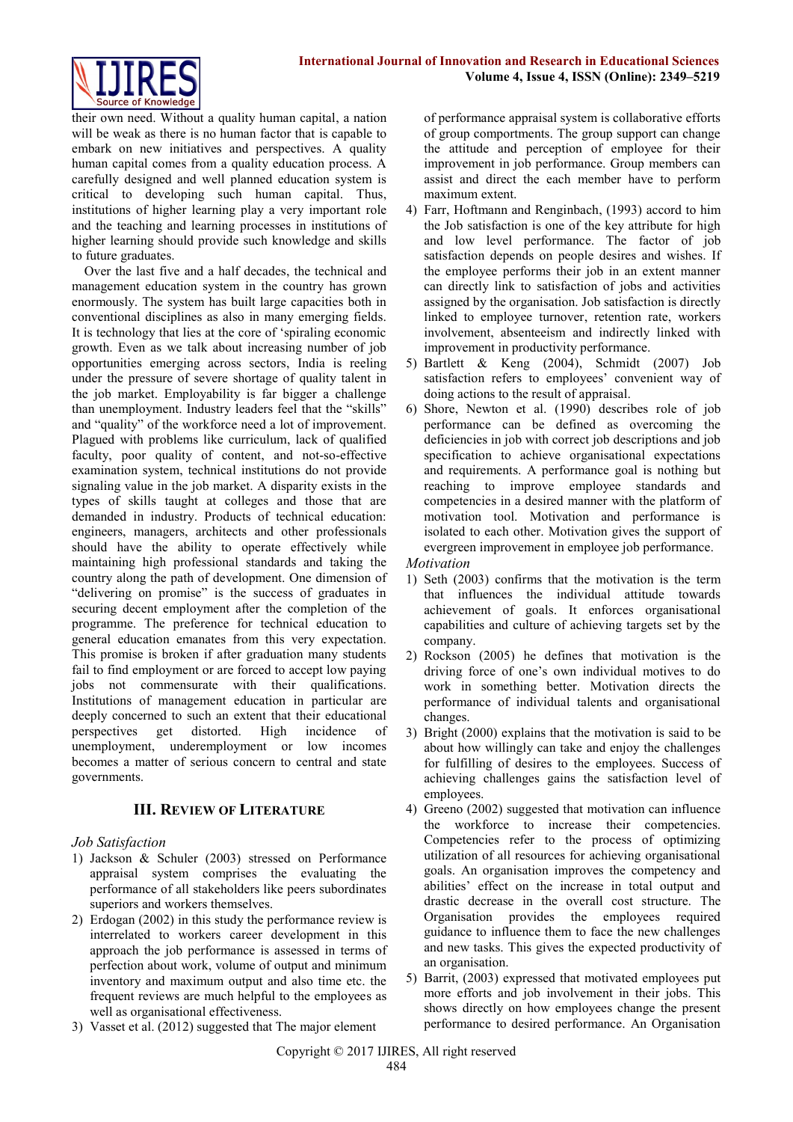

their own need. Without a quality human capital, a nation will be weak as there is no human factor that is capable to embark on new initiatives and perspectives. A quality human capital comes from a quality education process. A carefully designed and well planned education system is critical to developing such human capital. Thus, institutions of higher learning play a very important role and the teaching and learning processes in institutions of higher learning should provide such knowledge and skills to future graduates.

Over the last five and a half decades, the technical and management education system in the country has grown enormously. The system has built large capacities both in conventional disciplines as also in many emerging fields. It is technology that lies at the core of 'spiraling economic growth. Even as we talk about increasing number of job opportunities emerging across sectors, India is reeling under the pressure of severe shortage of quality talent in the job market. Employability is far bigger a challenge than unemployment. Industry leaders feel that the "skills" and "quality" of the workforce need a lot of improvement. Plagued with problems like curriculum, lack of qualified faculty, poor quality of content, and not-so-effective examination system, technical institutions do not provide signaling value in the job market. A disparity exists in the types of skills taught at colleges and those that are demanded in industry. Products of technical education: engineers, managers, architects and other professionals should have the ability to operate effectively while maintaining high professional standards and taking the country along the path of development. One dimension of "delivering on promise" is the success of graduates in securing decent employment after the completion of the programme. The preference for technical education to general education emanates from this very expectation. This promise is broken if after graduation many students fail to find employment or are forced to accept low paying jobs not commensurate with their qualifications. Institutions of management education in particular are deeply concerned to such an extent that their educational perspectives get distorted. High incidence of unemployment, underemployment or low incomes becomes a matter of serious concern to central and state governments.

## **III. REVIEW OF LITERATURE**

## *Job Satisfaction*

- 1) Jackson & Schuler (2003) stressed on Performance appraisal system comprises the evaluating the performance of all stakeholders like peers subordinates superiors and workers themselves.
- 2) Erdogan (2002) in this study the performance review is interrelated to workers career development in this approach the job performance is assessed in terms of perfection about work, volume of output and minimum inventory and maximum output and also time etc. the frequent reviews are much helpful to the employees as well as organisational effectiveness.
- 3) Vasset et al. (2012) suggested that The major element

of performance appraisal system is collaborative efforts of group comportments. The group support can change the attitude and perception of employee for their improvement in job performance. Group members can assist and direct the each member have to perform maximum extent.

- 4) Farr, Hoftmann and Renginbach, (1993) accord to him the Job satisfaction is one of the key attribute for high and low level performance. The factor of job satisfaction depends on people desires and wishes. If the employee performs their job in an extent manner can directly link to satisfaction of jobs and activities assigned by the organisation. Job satisfaction is directly linked to employee turnover, retention rate, workers involvement, absenteeism and indirectly linked with improvement in productivity performance.
- 5) Bartlett & Keng (2004), Schmidt (2007) Job satisfaction refers to employees' convenient way of doing actions to the result of appraisal.
- 6) Shore, Newton et al. (1990) describes role of job performance can be defined as overcoming the deficiencies in job with correct job descriptions and job specification to achieve organisational expectations and requirements. A performance goal is nothing but reaching to improve employee standards and competencies in a desired manner with the platform of motivation tool. Motivation and performance is isolated to each other. Motivation gives the support of evergreen improvement in employee job performance.
- *Motivation*
- 1) Seth (2003) confirms that the motivation is the term that influences the individual attitude towards achievement of goals. It enforces organisational capabilities and culture of achieving targets set by the company.
- 2) Rockson (2005) he defines that motivation is the driving force of one's own individual motives to do work in something better. Motivation directs the performance of individual talents and organisational changes.
- 3) Bright (2000) explains that the motivation is said to be about how willingly can take and enjoy the challenges for fulfilling of desires to the employees. Success of achieving challenges gains the satisfaction level of employees.
- 4) Greeno (2002) suggested that motivation can influence the workforce to increase their competencies. Competencies refer to the process of optimizing utilization of all resources for achieving organisational goals. An organisation improves the competency and abilities' effect on the increase in total output and drastic decrease in the overall cost structure. The Organisation provides the employees required guidance to influence them to face the new challenges and new tasks. This gives the expected productivity of an organisation.
- 5) Barrit, (2003) expressed that motivated employees put more efforts and job involvement in their jobs. This shows directly on how employees change the present performance to desired performance. An Organisation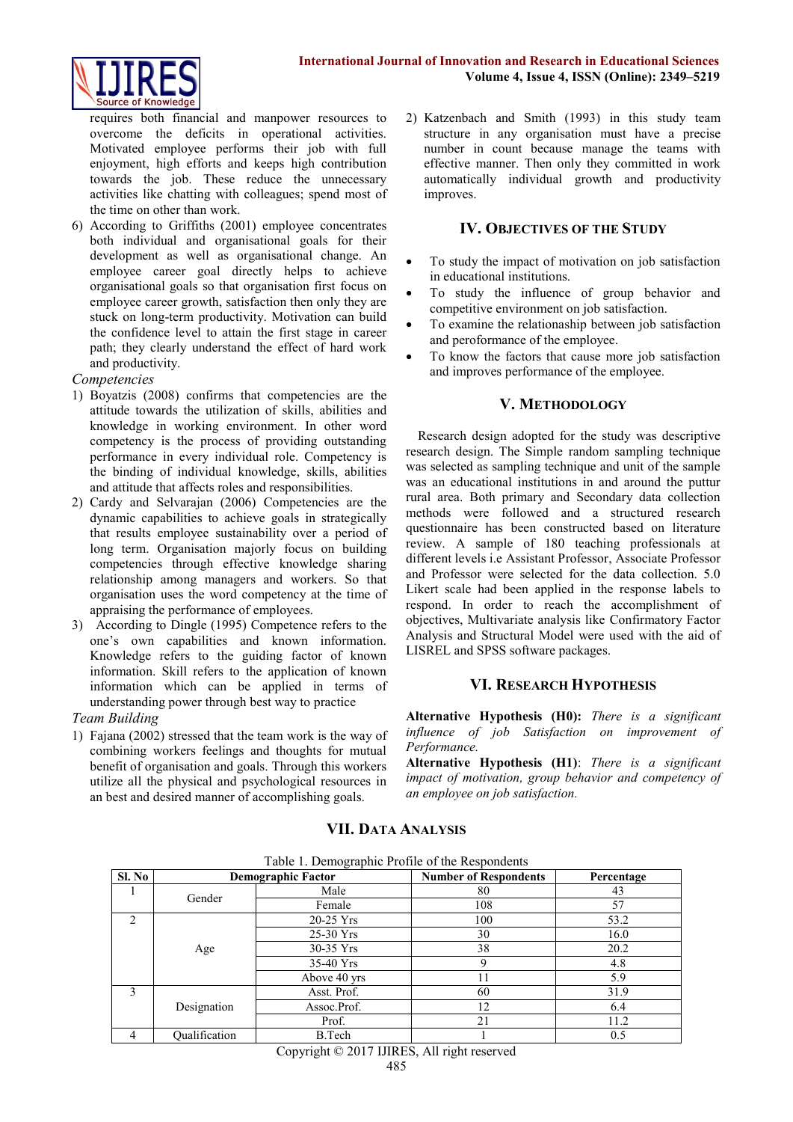

requires both financial and manpower resources to overcome the deficits in operational activities. Motivated employee performs their job with full enjoyment, high efforts and keeps high contribution towards the job. These reduce the unnecessary activities like chatting with colleagues; spend most of the time on other than work.

6) According to Griffiths (2001) employee concentrates both individual and organisational goals for their development as well as organisational change. An employee career goal directly helps to achieve organisational goals so that organisation first focus on employee career growth, satisfaction then only they are stuck on long-term productivity. Motivation can build the confidence level to attain the first stage in career path; they clearly understand the effect of hard work and productivity.

#### *Competencies*

- 1) Boyatzis (2008) confirms that competencies are the attitude towards the utilization of skills, abilities and knowledge in working environment. In other word competency is the process of providing outstanding performance in every individual role. Competency is the binding of individual knowledge, skills, abilities and attitude that affects roles and responsibilities.
- 2) Cardy and Selvarajan (2006) Competencies are the dynamic capabilities to achieve goals in strategically that results employee sustainability over a period of long term. Organisation majorly focus on building competencies through effective knowledge sharing relationship among managers and workers. So that organisation uses the word competency at the time of appraising the performance of employees.
- 3) According to Dingle (1995) Competence refers to the one's own capabilities and known information. Knowledge refers to the guiding factor of known information. Skill refers to the application of known information which can be applied in terms of understanding power through best way to practice

## *Team Building*

1) Fajana (2002) stressed that the team work is the way of combining workers feelings and thoughts for mutual benefit of organisation and goals. Through this workers utilize all the physical and psychological resources in an best and desired manner of accomplishing goals.

2) Katzenbach and Smith (1993) in this study team structure in any organisation must have a precise number in count because manage the teams with effective manner. Then only they committed in work automatically individual growth and productivity improves.

# **IV. OBJECTIVES OF THE STUDY**

- To study the impact of motivation on job satisfaction in educational institutions.
- To study the influence of group behavior and competitive environment on job satisfaction.
- To examine the relationaship between job satisfaction and peroformance of the employee.
- To know the factors that cause more job satisfaction and improves performance of the employee.

## **V. METHODOLOGY**

Research design adopted for the study was descriptive research design. The Simple random sampling technique was selected as sampling technique and unit of the sample was an educational institutions in and around the puttur rural area. Both primary and Secondary data collection methods were followed and a structured research questionnaire has been constructed based on literature review. A sample of 180 teaching professionals at different levels i.e Assistant Professor, Associate Professor and Professor were selected for the data collection. 5.0 Likert scale had been applied in the response labels to respond. In order to reach the accomplishment of objectives, Multivariate analysis like Confirmatory Factor Analysis and Structural Model were used with the aid of LISREL and SPSS software packages.

## **VI. RESEARCH HYPOTHESIS**

**Alternative Hypothesis (H0):** *There is a significant influence of job Satisfaction on improvement of Performance.*

**Alternative Hypothesis (H1)**: *There is a significant impact of motivation, group behavior and competency of an employee on job satisfaction.*

| Sl. No                        | <b>Demographic Factor</b> |              | <b>Number of Respondents</b> | Percentage |  |
|-------------------------------|---------------------------|--------------|------------------------------|------------|--|
|                               | Gender                    | Male         | 80                           | 43         |  |
|                               |                           | Female       | 108                          | 57         |  |
| $\mathfrak{D}_{\mathfrak{p}}$ |                           | 20-25 Yrs    | 100                          | 53.2       |  |
|                               |                           | 25-30 Yrs    | 30                           | 16.0       |  |
|                               | Age                       | 30-35 Yrs    | 38                           | 20.2       |  |
|                               |                           | 35-40 Yrs    | 9                            | 4.8        |  |
|                               |                           | Above 40 yrs | 11                           | 5.9        |  |
| $\mathbf{3}$                  |                           | Asst. Prof.  | 60                           | 31.9       |  |
|                               | Designation               | Assoc.Prof.  | 12                           | 6.4        |  |
|                               |                           | Prof.        | 21                           | 11.2       |  |
|                               | Oualification             | B.Tech       |                              | 0.5        |  |

## **VII. DATA ANALYSIS**

 $T_{\text{c}}$  1. 1. Demographic  $D_{\text{c}}$   $\mathcal{C}$  1.  $\mathcal{C}$  4.  $\mathcal{D}$ 

Copyright © 2017 IJIRES, All right reserved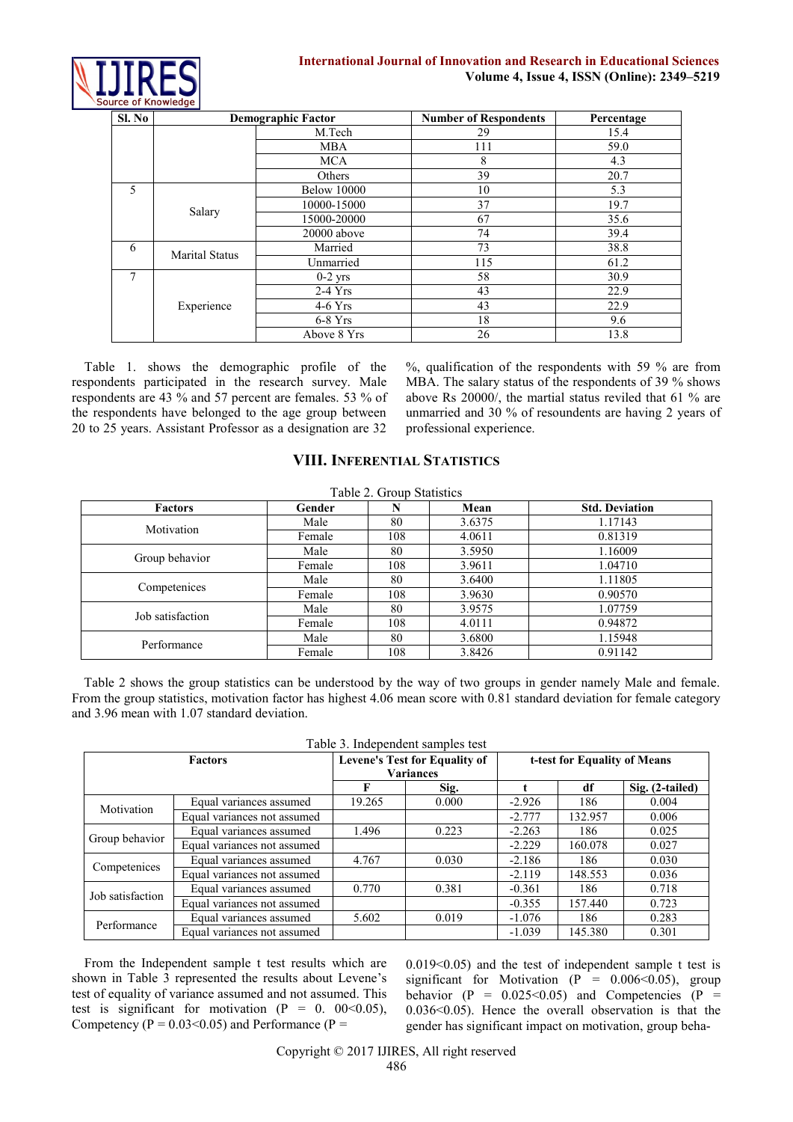

| Sl. No |                       | <b>Demographic Factor</b> | <b>Number of Respondents</b> | Percentage |
|--------|-----------------------|---------------------------|------------------------------|------------|
|        |                       | M.Tech                    | 29                           | 15.4       |
|        |                       | <b>MBA</b>                | 111                          | 59.0       |
|        |                       | <b>MCA</b>                | 8                            | 4.3        |
|        |                       | Others                    | 39                           | 20.7       |
| 5      |                       | <b>Below 10000</b>        | 10                           | 5.3        |
|        |                       | 10000-15000               | 37                           | 19.7       |
|        | Salary                | 15000-20000               | 67                           | 35.6       |
|        |                       | 20000 above               | 74                           | 39.4       |
| 6      | <b>Marital Status</b> | Married                   | 73                           | 38.8       |
|        |                       | Unmarried                 | 115                          | 61.2       |
| 7      |                       | $0-2$ yrs                 | 58                           | 30.9       |
|        |                       | $2-4$ Yrs                 | 43                           | 22.9       |
|        | Experience            | $4-6$ Yrs                 | 43                           | 22.9       |
|        |                       | $6-8$ Yrs                 | 18                           | 9.6        |
|        |                       | Above 8 Yrs               | 26                           | 13.8       |

Table 1. shows the demographic profile of the respondents participated in the research survey. Male respondents are 43 % and 57 percent are females. 53 % of the respondents have belonged to the age group between 20 to 25 years. Assistant Professor as a designation are 32

%, qualification of the respondents with 59 % are from MBA. The salary status of the respondents of 39 % shows above Rs 20000/, the martial status reviled that 61 % are unmarried and 30 % of resoundents are having 2 years of professional experience.

# **VIII. INFERENTIAL STATISTICS**

| Table 2. Group Statistics |        |     |        |                       |  |  |  |
|---------------------------|--------|-----|--------|-----------------------|--|--|--|
| <b>Factors</b>            | Gender | N   | Mean   | <b>Std. Deviation</b> |  |  |  |
| Motivation                | Male   | 80  | 3.6375 | 1.17143               |  |  |  |
|                           | Female | 108 | 4.0611 | 0.81319               |  |  |  |
|                           | Male   | 80  | 3.5950 | 1.16009               |  |  |  |
| Group behavior            | Female | 108 | 3.9611 | 1.04710               |  |  |  |
|                           | Male   | 80  | 3.6400 | 1.11805               |  |  |  |
| Competenices              | Female | 108 | 3.9630 | 0.90570               |  |  |  |
| Job satisfaction          | Male   | 80  | 3.9575 | 1.07759               |  |  |  |
|                           | Female | 108 | 4.0111 | 0.94872               |  |  |  |
| Performance               | Male   | 80  | 3.6800 | 1.15948               |  |  |  |
|                           | Female | 108 | 3.8426 | 0.91142               |  |  |  |

Table 2 shows the group statistics can be understood by the way of two groups in gender namely Male and female. From the group statistics, motivation factor has highest 4.06 mean score with 0.81 standard deviation for female category and 3.96 mean with 1.07 standard deviation.

Table 3. Independent samples test

| Table 3. Independent samples test |                             |                                      |       |                              |         |                 |
|-----------------------------------|-----------------------------|--------------------------------------|-------|------------------------------|---------|-----------------|
| <b>Factors</b>                    |                             | <b>Levene's Test for Equality of</b> |       | t-test for Equality of Means |         |                 |
|                                   |                             | <b>Variances</b>                     |       |                              |         |                 |
|                                   |                             |                                      | Sig.  |                              | df      | Sig. (2-tailed) |
| Motivation                        | Equal variances assumed     | 19.265                               | 0.000 | $-2.926$                     | 186     | 0.004           |
|                                   | Equal variances not assumed |                                      |       | $-2.777$                     | 132.957 | 0.006           |
|                                   | Equal variances assumed     | 1.496                                | 0.223 | $-2.263$                     | 186     | 0.025           |
| Group behavior                    | Equal variances not assumed |                                      |       | $-2.229$                     | 160.078 | 0.027           |
| Competenices                      | Equal variances assumed     | 4.767                                | 0.030 | $-2.186$                     | 186     | 0.030           |
|                                   | Equal variances not assumed |                                      |       | $-2.119$                     | 148.553 | 0.036           |
| Job satisfaction                  | Equal variances assumed     | 0.770                                | 0.381 | $-0.361$                     | 186     | 0.718           |
|                                   | Equal variances not assumed |                                      |       | $-0.355$                     | 157.440 | 0.723           |
| Performance                       | Equal variances assumed     | 5.602                                | 0.019 | $-1.076$                     | 186     | 0.283           |
|                                   | Equal variances not assumed |                                      |       | $-1.039$                     | 145.380 | 0.301           |

From the Independent sample t test results which are shown in Table 3 represented the results about Levene's test of equality of variance assumed and not assumed. This test is significant for motivation ( $P = 0$ . 00<0.05), Competency ( $P = 0.03 \le 0.05$ ) and Performance ( $P =$ 

0.019<0.05) and the test of independent sample t test is significant for Motivation (P =  $0.006 \le 0.05$ ), group behavior (P =  $0.025 \le 0.05$ ) and Competencies (P = 0.036<0.05). Hence the overall observation is that the gender has significant impact on motivation, group beha-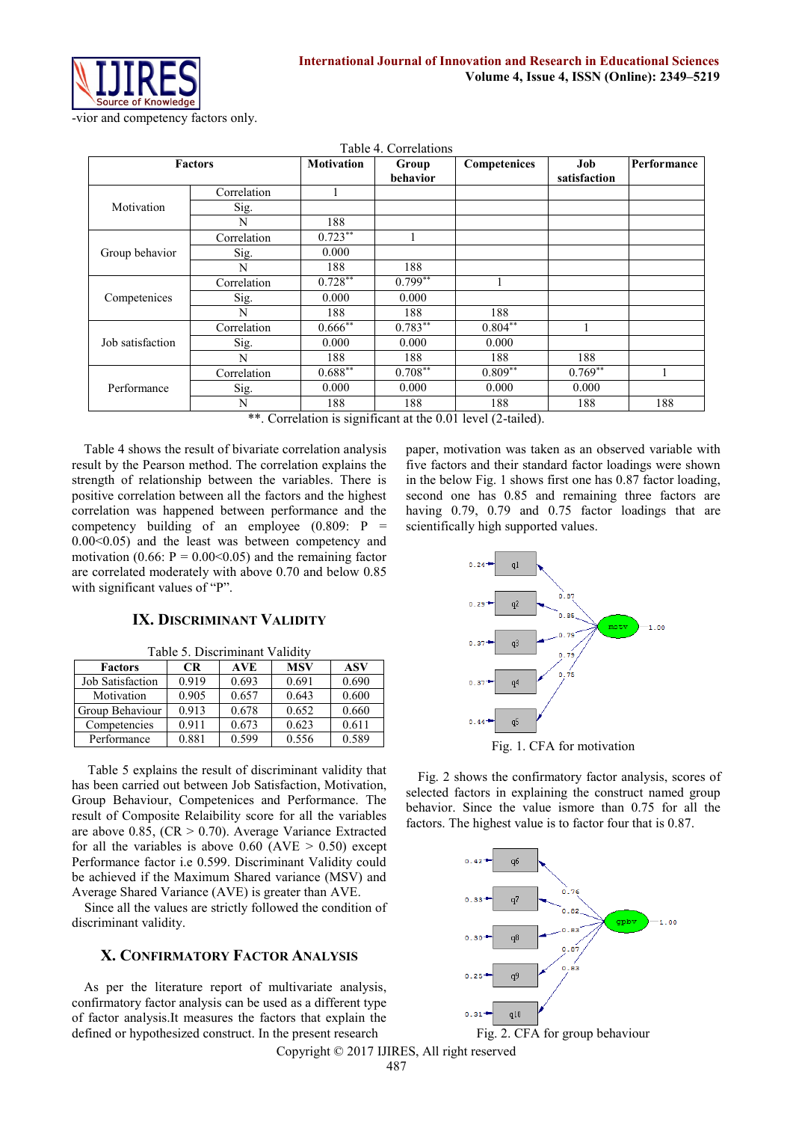

|  |                      |                   | Table 4. Correlations |
|--|----------------------|-------------------|-----------------------|
|  | <b>Factors</b>       | <b>Motivation</b> | Group<br>behavior     |
|  | $\sim$ $\sim$ $\sim$ |                   |                       |

| Performance |
|-------------|
|             |
|             |
|             |
|             |
|             |
|             |
|             |
|             |
|             |
|             |
|             |
|             |
|             |
|             |
|             |
| 188         |
|             |

\*\*. Correlation is significant at the 0.01 level (2-tailed).

Table 4 shows the result of bivariate correlation analysis result by the Pearson method. The correlation explains the strength of relationship between the variables. There is positive correlation between all the factors and the highest correlation was happened between performance and the competency building of an employee  $(0.809: P =$ 0.00<0.05) and the least was between competency and motivation (0.66:  $P = 0.00 \le 0.05$ ) and the remaining factor are correlated moderately with above 0.70 and below 0.85 with significant values of "P".

#### **IX. DISCRIMINANT VALIDITY**

| Table 5. Discriminant Validity |  |
|--------------------------------|--|
|--------------------------------|--|

| <b>Factors</b>   | CR    | <b>AVE</b> | <b>MSV</b> | <b>ASV</b> |  |  |
|------------------|-------|------------|------------|------------|--|--|
| Job Satisfaction | 0.919 | 0.693      | 0.691      | 0.690      |  |  |
| Motivation       | 0.905 | 0.657      | 0.643      | 0.600      |  |  |
| Group Behaviour  | 0.913 | 0.678      | 0.652      | 0.660      |  |  |
| Competencies     | 0.911 | 0.673      | 0.623      | 0.611      |  |  |
| Performance      | 0.881 | 0.599      | 0.556      | 0.589      |  |  |

Table 5 explains the result of discriminant validity that has been carried out between Job Satisfaction, Motivation, Group Behaviour, Competenices and Performance. The result of Composite Relaibility score for all the variables are above 0.85,  $(CR > 0.70)$ . Average Variance Extracted for all the variables is above  $0.60$  (AVE  $> 0.50$ ) except Performance factor i.e 0.599. Discriminant Validity could be achieved if the Maximum Shared variance (MSV) and Average Shared Variance (AVE) is greater than AVE.

Since all the values are strictly followed the condition of discriminant validity.

## **X. CONFIRMATORY FACTOR ANALYSIS**

As per the literature report of multivariate analysis, confirmatory factor analysis can be used as a different type of factor analysis.It measures the factors that explain the defined or hypothesized construct. In the present research

paper, motivation was taken as an observed variable with five factors and their standard factor loadings were shown in the below Fig. 1 shows first one has 0.87 factor loading, second one has 0.85 and remaining three factors are having 0.79, 0.79 and 0.75 factor loadings that are scientifically high supported values.



Fig. 2 shows the confirmatory factor analysis, scores of selected factors in explaining the construct named group behavior. Since the value ismore than 0.75 for all the factors. The highest value is to factor four that is 0.87.



Fig. 2. CFA for group behaviour

Copyright © 2017 IJIRES, All right reserved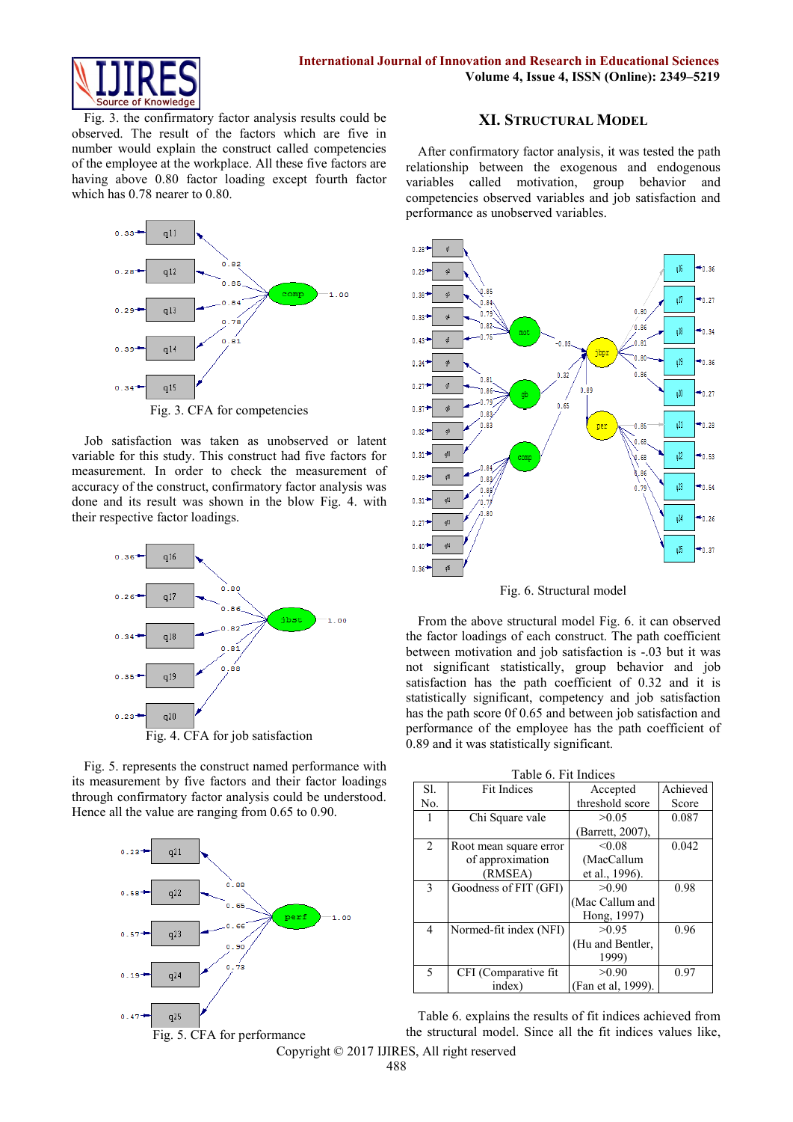

Fig. 3. the confirmatory factor analysis results could be observed. The result of the factors which are five in number would explain the construct called competencies of the employee at the workplace. All these five factors are having above 0.80 factor loading except fourth factor which has 0.78 nearer to 0.80.



Fig. 3. CFA for competencies

Job satisfaction was taken as unobserved or latent variable for this study. This construct had five factors for measurement. In order to check the measurement of accuracy of the construct, confirmatory factor analysis was done and its result was shown in the blow Fig. 4. with their respective factor loadings.



Fig. 5. represents the construct named performance with its measurement by five factors and their factor loadings through confirmatory factor analysis could be understood. Hence all the value are ranging from 0.65 to 0.90.



#### **XI. STRUCTURAL MODEL**

After confirmatory factor analysis, it was tested the path relationship between the exogenous and endogenous variables called motivation, group behavior and competencies observed variables and job satisfaction and performance as unobserved variables.



Fig. 6. Structural model

From the above structural model Fig. 6. it can observed the factor loadings of each construct. The path coefficient between motivation and job satisfaction is -.03 but it was not significant statistically, group behavior and job satisfaction has the path coefficient of 0.32 and it is statistically significant, competency and job satisfaction has the path score 0f 0.65 and between job satisfaction and performance of the employee has the path coefficient of 0.89 and it was statistically significant.

|     | Table 0. FIL Illuites  |                    |          |  |  |  |  |
|-----|------------------------|--------------------|----------|--|--|--|--|
| S1. | <b>Fit Indices</b>     | Accepted           | Achieved |  |  |  |  |
| No. |                        | threshold score    | Score    |  |  |  |  |
|     | Chi Square vale        | >0.05              | 0.087    |  |  |  |  |
|     |                        | (Barrett, 2007).   |          |  |  |  |  |
| 2   | Root mean square error | < 0.08             | 0.042    |  |  |  |  |
|     | of approximation       | (MacCallum         |          |  |  |  |  |
|     | (RMSEA)                | et al., 1996).     |          |  |  |  |  |
| 3   | Goodness of FIT (GFI)  | >0.90              | 0.98     |  |  |  |  |
|     |                        | (Mac Callum and    |          |  |  |  |  |
|     |                        | Hong, 1997)        |          |  |  |  |  |
| 4   | Normed-fit index (NFI) | >0.95              | 0.96     |  |  |  |  |
|     |                        | (Hu and Bentler,   |          |  |  |  |  |
|     |                        | 1999)              |          |  |  |  |  |
| 5   | CFI (Comparative fit)  | >0.90              | 0.97     |  |  |  |  |
|     | index)                 | (Fan et al. 1999). |          |  |  |  |  |

Table 6. Fit Indices

Table 6. explains the results of fit indices achieved from the structural model. Since all the fit indices values like,

Copyright © 2017 IJIRES, All right reserved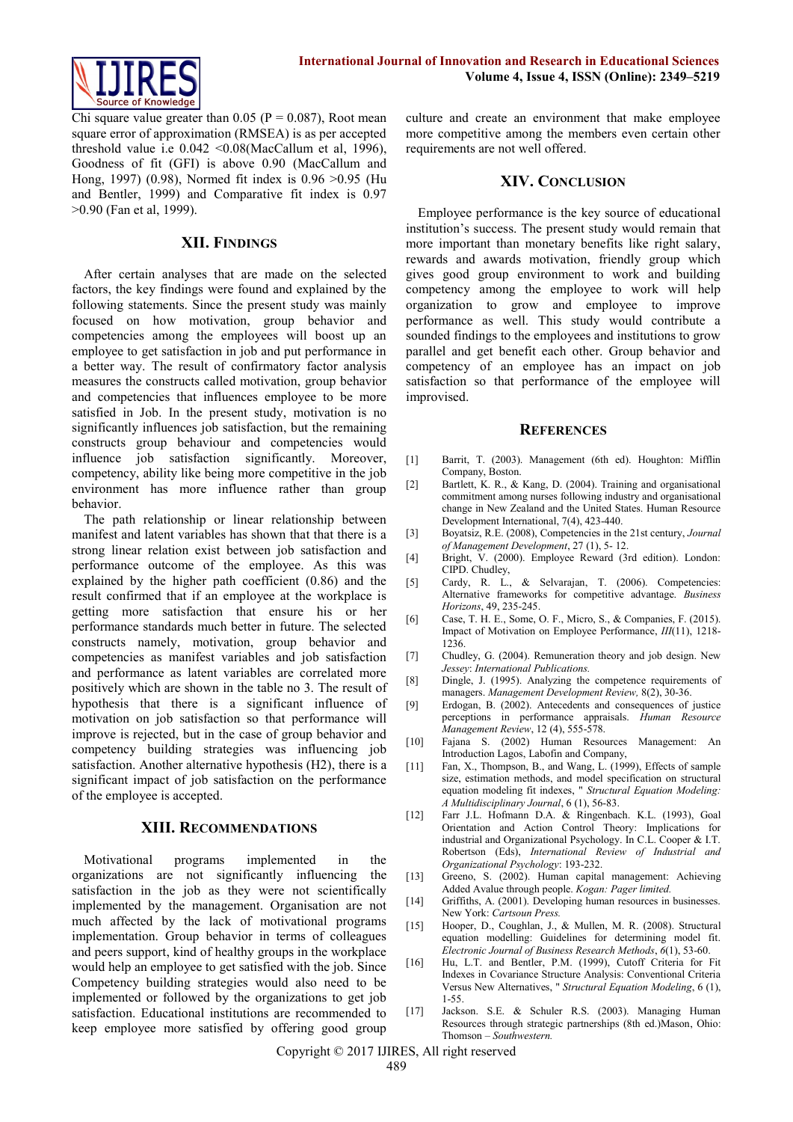

Chi square value greater than 0.05 ( $P = 0.087$ ), Root mean square error of approximation (RMSEA) is as per accepted threshold value i.e 0.042 <0.08(MacCallum et al, 1996), Goodness of fit (GFI) is above 0.90 (MacCallum and Hong, 1997) (0.98), Normed fit index is 0.96 >0.95 (Hu and Bentler, 1999) and Comparative fit index is 0.97 >0.90 (Fan et al, 1999).

#### **XII. FINDINGS**

After certain analyses that are made on the selected factors, the key findings were found and explained by the following statements. Since the present study was mainly focused on how motivation, group behavior and competencies among the employees will boost up an employee to get satisfaction in job and put performance in a better way. The result of confirmatory factor analysis measures the constructs called motivation, group behavior and competencies that influences employee to be more satisfied in Job. In the present study, motivation is no significantly influences job satisfaction, but the remaining constructs group behaviour and competencies would influence job satisfaction significantly. Moreover, competency, ability like being more competitive in the job environment has more influence rather than group behavior.

The path relationship or linear relationship between manifest and latent variables has shown that that there is a strong linear relation exist between job satisfaction and performance outcome of the employee. As this was explained by the higher path coefficient (0.86) and the result confirmed that if an employee at the workplace is getting more satisfaction that ensure his or her performance standards much better in future. The selected constructs namely, motivation, group behavior and competencies as manifest variables and job satisfaction and performance as latent variables are correlated more positively which are shown in the table no 3. The result of hypothesis that there is a significant influence of motivation on job satisfaction so that performance will improve is rejected, but in the case of group behavior and competency building strategies was influencing job satisfaction. Another alternative hypothesis (H2), there is a significant impact of job satisfaction on the performance of the employee is accepted.

#### **XIII. RECOMMENDATIONS**

Motivational programs implemented in the organizations are not significantly influencing the satisfaction in the job as they were not scientifically implemented by the management. Organisation are not much affected by the lack of motivational programs implementation. Group behavior in terms of colleagues and peers support, kind of healthy groups in the workplace would help an employee to get satisfied with the job. Since Competency building strategies would also need to be implemented or followed by the organizations to get job satisfaction. Educational institutions are recommended to keep employee more satisfied by offering good group

culture and create an environment that make employee more competitive among the members even certain other requirements are not well offered.

#### **XIV. CONCLUSION**

Employee performance is the key source of educational institution's success. The present study would remain that more important than monetary benefits like right salary, rewards and awards motivation, friendly group which gives good group environment to work and building competency among the employee to work will help organization to grow and employee to improve performance as well. This study would contribute a sounded findings to the employees and institutions to grow parallel and get benefit each other. Group behavior and competency of an employee has an impact on job satisfaction so that performance of the employee will improvised.

#### **REFERENCES**

- [1] Barrit, T. (2003). Management (6th ed). Houghton: Mifflin Company, Boston.
- [2] Bartlett, K. R., & Kang, D. (2004). Training and organisational commitment among nurses following industry and organisational change in New Zealand and the United States. Human Resource Development International, 7(4), 423-440.
- [3] Boyatsiz, R.E. (2008), Competencies in the 21st century, *Journal of Management Development*, 27 (1), 5- 12.
- [4] Bright, V. (2000). Employee Reward (3rd edition). London: CIPD. Chudley,
- [5] Cardy, R. L., & Selvarajan, T. (2006). Competencies: Alternative frameworks for competitive advantage. *Business Horizons*, 49, 235-245.
- [6] Case, T. H. E., Some, O. F., Micro, S., & Companies, F. (2015). Impact of Motivation on Employee Performance, *III*(11), 1218- 1236.
- [7] Chudley, G. (2004). Remuneration theory and job design. New *Jessey*: *International Publications.*
- [8] Dingle, J. (1995). Analyzing the competence requirements of managers. *Management Development Review,* 8(2), 30-36.
- [9] Erdogan, B. (2002). Antecedents and consequences of justice perceptions in performance appraisals. *Human Resource Management Review*, 12 (4), 555-578.
- [10] Fajana S. (2002) Human Resources Management: An Introduction Lagos, Labofin and Company,
- [11] Fan, X., Thompson, B., and Wang, L. (1999), Effects of sample size, estimation methods, and model specification on structural equation modeling fit indexes, " *Structural Equation Modeling: A Multidisciplinary Journal*, 6 (1), 56-83.
- [12] Farr J.L. Hofmann D.A. & Ringenbach. K.L. (1993), Goal Orientation and Action Control Theory: Implications for industrial and Organizational Psychology. In C.L. Cooper & I.T. Robertson (Eds), *International Review of Industrial and Organizational Psychology*: 193-232.
- [13] Greeno, S. (2002). Human capital management: Achieving Added Avalue through people. *Kogan: Pager limited.*
- [14] Griffiths, A. (2001). Developing human resources in businesses. New York: *Cartsoun Press.*
- [15] Hooper, D., Coughlan, J., & Mullen, M. R. (2008). Structural equation modelling: Guidelines for determining model fit. *Electronic Journal of Business Research Methods*, *6*(1), 53-60.
- [16] Hu, L.T. and Bentler, P.M. (1999), Cutoff Criteria for Fit Indexes in Covariance Structure Analysis: Conventional Criteria Versus New Alternatives, " *Structural Equation Modeling*, 6 (1), 1-55.
- [17] Jackson. S.E. & Schuler R.S. (2003). Managing Human Resources through strategic partnerships (8th ed.)Mason, Ohio: Thomson – *Southwestern.*